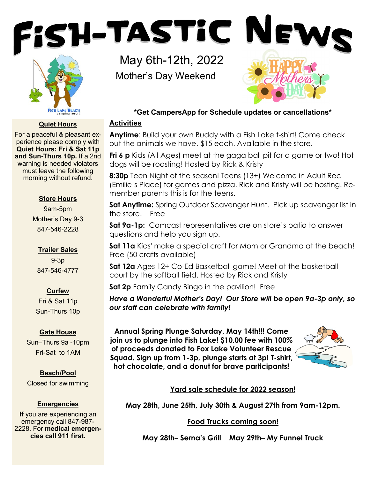



# **Quiet Hours**

For a peaceful & pleasant experience please comply with **Quiet Hours: Fri & Sat 11p and Sun-Thurs 10p.** If a 2nd warning is needed violators must leave the following morning without refund.

#### **Store Hours**

9am-5pm Mother's Day 9-3 847-546-2228

# **Trailer Sales**

9-3p 847-546-4777

# **Curfew**

Fri & Sat 11p Sun-Thurs 10p

# **Gate House**

Sun–Thurs 9a -10pm Fri-Sat to 1AM

# **Beach/Pool** Closed for swimming

# **Emergencies**

**If** you are experiencing an emergency call 847-987- 2228. For **medical emergencies call 911 first.**

May 6th-12th, 2022 Mother's Day Weekend



# **\*Get CampersApp for Schedule updates or cancellations\***

# **Activities**

**Anytime**: Build your own Buddy with a Fish Lake t-shirt! Come check out the animals we have. \$15 each. Available in the store.

**Fri 6 p** Kids (All Ages) meet at the gaga ball pit for a game or two! Hot dogs will be roasting! Hosted by Rick & Kristy

**8:30p** Teen Night of the season! Teens (13+) Welcome in Adult Rec (Emilie's Place) for games and pizza. Rick and Kristy will be hosting. Remember parents this is for the teens.

**Sat Anytime:** Spring Outdoor Scavenger Hunt. Pick up scavenger list in the store. Free

Sat 9a-1p: Comcast representatives are on store's patio to answer questions and help you sign up.

**Sat 11a** Kids' make a special craft for Mom or Grandma at the beach! Free (50 crafts available)

**Sat 12a** Ages 12+ Co-Ed Basketball game! Meet at the basketball court by the softball field. Hosted by Rick and Kristy

**Sat 2p** Family Candy Bingo in the pavilion! Free

*Have a Wonderful Mother's Day! Our Store will be open 9a-3p only, so our staff can celebrate with family!*

**Annual Spring Plunge Saturday, May 14th!!! Come join us to plunge into Fish Lake! \$10.00 fee with 100% of proceeds donated to Fox Lake Volunteer Rescue Squad. Sign up from 1-3p, plunge starts at 3p! T-shirt, hot chocolate, and a donut for brave participants!**



# **Yard sale schedule for 2022 season!**

**May 28th, June 25th, July 30th & August 27th from 9am-12pm.** 

# **Food Trucks coming soon!**

**May 28th– Serna's Grill May 29th– My Funnel Truck**